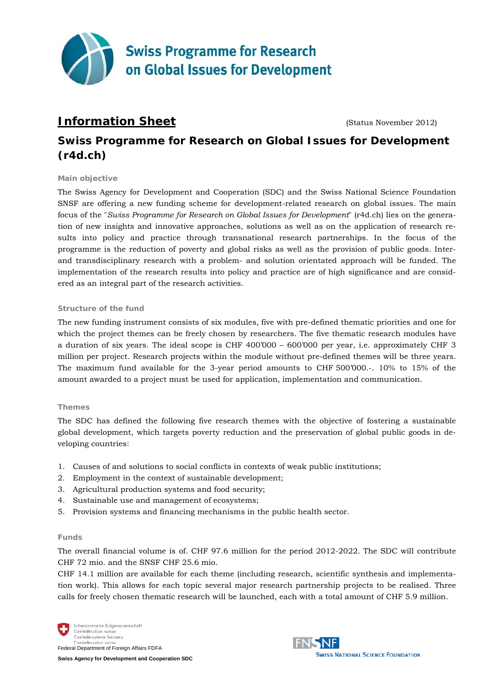

# **Information Sheet** (Status November 2012)

# **Swiss Programme for Research on Global Issues for Development (r4d.ch)**

#### **Main objective**

The Swiss Agency for Development and Cooperation (SDC) and the Swiss National Science Foundation SNSF are offering a new funding scheme for development-related research on global issues. The main focus of the "*Swiss Programme for Research on Global Issues for Development*" (r4d.ch) lies on the generation of new insights and innovative approaches, solutions as well as on the application of research results into policy and practice through transnational research partnerships. In the focus of the programme is the reduction of poverty and global risks as well as the provision of public goods. Interand transdisciplinary research with a problem- and solution orientated approach will be funded. The implementation of the research results into policy and practice are of high significance and are considered as an integral part of the research activities.

#### **Structure of the fund**

The new funding instrument consists of six modules, five with pre-defined thematic priorities and one for which the project themes can be freely chosen by researchers. The five thematic research modules have a duration of six years. The ideal scope is CHF 400'000 – 600'000 per year, i.e. approximately CHF 3 million per project. Research projects within the module without pre-defined themes will be three years. The maximum fund available for the 3-year period amounts to CHF 500'000.-. 10% to 15% of the amount awarded to a project must be used for application, implementation and communication.

## **Themes**

The SDC has defined the following five research themes with the objective of fostering a sustainable global development, which targets poverty reduction and the preservation of global public goods in developing countries:

- 1. Causes of and solutions to social conflicts in contexts of weak public institutions;
- 2. Employment in the context of sustainable development;
- 3. Agricultural production systems and food security;
- 4. Sustainable use and management of ecosystems;
- 5. Provision systems and financing mechanisms in the public health sector.

#### **Funds**

The overall financial volume is of. CHF 97.6 million for the period 2012-2022. The SDC will contribute CHF 72 mio. and the SNSF CHF 25.6 mio.

CHF 14.1 million are available for each theme (including research, scientific synthesis and implementation work). This allows for each topic several major research partnership projects to be realised. Three calls for freely chosen thematic research will be launched, each with a total amount of CHF 5.9 million.



**Swiss Agency for Development and Cooperation SDC**